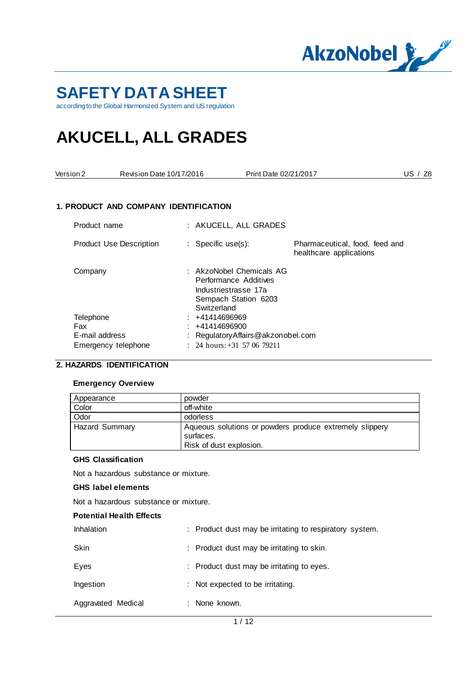

# **SAFETY DATA SHEET**

according to the Global Harmonized System and US regulation

# **AKUCELL, ALL GRADES**

| Version 2                          | Revision Date 10/17/2016              |                              |                                                                                                   | Print Date 02/21/2017                                     | US $/$ Z <sub>8</sub> |
|------------------------------------|---------------------------------------|------------------------------|---------------------------------------------------------------------------------------------------|-----------------------------------------------------------|-----------------------|
|                                    | 1. PRODUCT AND COMPANY IDENTIFICATION |                              |                                                                                                   |                                                           |                       |
| Product name                       |                                       |                              | : AKUCELL, ALL GRADES                                                                             |                                                           |                       |
|                                    | <b>Product Use Description</b>        | : Specific use $(s)$ :       |                                                                                                   | Pharmaceutical, food, feed and<br>healthcare applications |                       |
| Company                            |                                       | Switzerland                  | : AkzoNobel Chemicals AG<br>Performance Additives<br>Industriestrasse 17a<br>Sempach Station 6203 |                                                           |                       |
| Telephone<br>Fax<br>E-mail address | Emergency telephone                   | +41414696969<br>+41414696900 | RegulatoryAffairs@akzonobel.com<br>: 24 hours: $+31$ 57 06 79211                                  |                                                           |                       |

### **2. HAZARDS IDENTIFICATION**

#### **Emergency Overview**

| Appearance            | powder                                                                                          |
|-----------------------|-------------------------------------------------------------------------------------------------|
| Color                 | off-white                                                                                       |
| Odor                  | odorless                                                                                        |
| <b>Hazard Summary</b> | Aqueous solutions or powders produce extremely slippery<br>surfaces.<br>Risk of dust explosion. |

#### **GHS Classification**

Not a hazardous substance or mixture.

#### **GHS label elements**

Not a hazardous substance or mixture.

#### **Potential Health Effects**

| Inhalation         | : Product dust may be irritating to respiratory system. |
|--------------------|---------------------------------------------------------|
| <b>Skin</b>        | : Product dust may be irritating to skin.               |
| Eyes               | : Product dust may be irritating to eyes.               |
| Ingestion          | : Not expected to be irritating.                        |
| Aggravated Medical | : None known.                                           |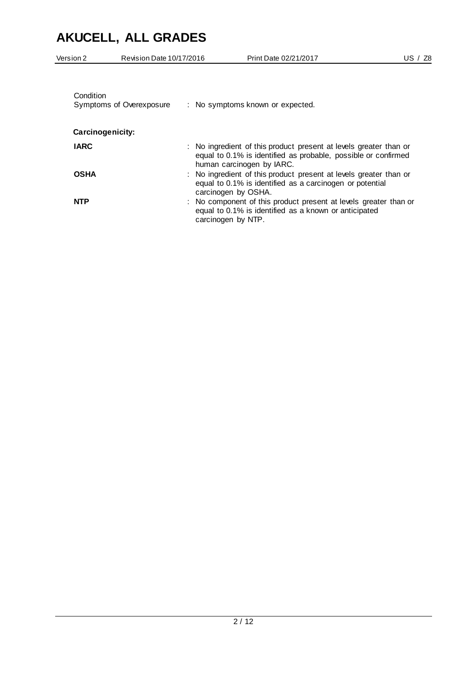| Version 2        | Revision Date 10/17/2016 | Print Date 02/21/2017                                                                                                                                            | US / Z8 |
|------------------|--------------------------|------------------------------------------------------------------------------------------------------------------------------------------------------------------|---------|
| Condition        | Symptoms of Overexposure | : No symptoms known or expected.                                                                                                                                 |         |
| Carcinogenicity: |                          |                                                                                                                                                                  |         |
| <b>IARC</b>      |                          | : No ingredient of this product present at levels greater than or<br>equal to 0.1% is identified as probable, possible or confirmed<br>human carcinogen by IARC. |         |
| <b>OSHA</b>      |                          | : No ingredient of this product present at levels greater than or<br>equal to 0.1% is identified as a carcinogen or potential<br>carcinogen by OSHA.             |         |
| <b>NTP</b>       |                          | : No component of this product present at levels greater than or<br>equal to 0.1% is identified as a known or anticipated<br>carcinogen by NTP.                  |         |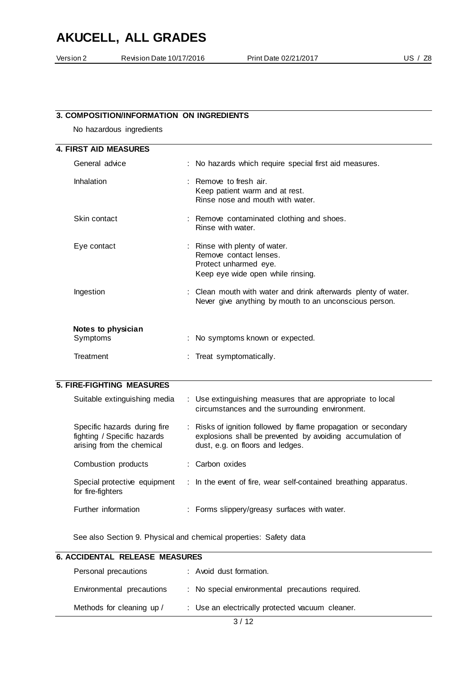| Version 2      | Revision Date 10/17/2016                  | Print Date 02/21/2017                                  | US $/$ Z <sub>8</sub> |
|----------------|-------------------------------------------|--------------------------------------------------------|-----------------------|
|                |                                           |                                                        |                       |
|                |                                           |                                                        |                       |
|                |                                           |                                                        |                       |
|                | 3. COMPOSITION/INFORMATION ON INGREDIENTS |                                                        |                       |
|                |                                           |                                                        |                       |
|                | No hazardous ingredients                  |                                                        |                       |
|                | <b>4. FIRST AID MEASURES</b>              |                                                        |                       |
| General advice |                                           | : No hazards which require special first aid measures. |                       |
|                |                                           |                                                        |                       |

| Inhalation         | $\pm$ Remove to fresh air.<br>Keep patient warm and at rest.<br>Rinse nose and mouth with water.                         |
|--------------------|--------------------------------------------------------------------------------------------------------------------------|
| Skin contact       | : Remove contaminated clothing and shoes.<br>Rinse with water.                                                           |
| Eye contact        | : Rinse with plenty of water.<br>Remove contact lenses.<br>Protect unharmed eye.<br>Keep eye wide open while rinsing.    |
| Ingestion          | : Clean mouth with water and drink afterwards plenty of water.<br>Never give anything by mouth to an unconscious person. |
| Notes to physician |                                                                                                                          |
| Symptoms           | : No symptoms known or expected.                                                                                         |
| Treatment          | : Treat symptomatically.                                                                                                 |

#### **5. FIRE-FIGHTING MEASURES**

| Suitable extinguishing media                                                             | : Use extinguishing measures that are appropriate to local<br>circumstances and the surrounding environment.                                                    |
|------------------------------------------------------------------------------------------|-----------------------------------------------------------------------------------------------------------------------------------------------------------------|
| Specific hazards during fire<br>fighting / Specific hazards<br>arising from the chemical | : Risks of ignition followed by flame propagation or secondary<br>explosions shall be prevented by avoiding accumulation of<br>dust, e.g. on floors and ledges. |
| Combustion products                                                                      | : Carbon oxides                                                                                                                                                 |
| Special protective equipment<br>for fire-fighters                                        | : In the event of fire, wear self-contained breathing apparatus.                                                                                                |
| Further information                                                                      | : Forms slippery/greasy surfaces with water.                                                                                                                    |

See also Section 9. Physical and chemical properties: Safety data

| <b>6. ACCIDENTAL RELEASE MEASURES</b> |  |                                                  |  |  |  |
|---------------------------------------|--|--------------------------------------------------|--|--|--|
| Personal precautions                  |  | : Avoid dust formation.                          |  |  |  |
| Environmental precautions             |  | : No special environmental precautions required. |  |  |  |
| Methods for cleaning up /             |  | : Use an electrically protected vacuum cleaner.  |  |  |  |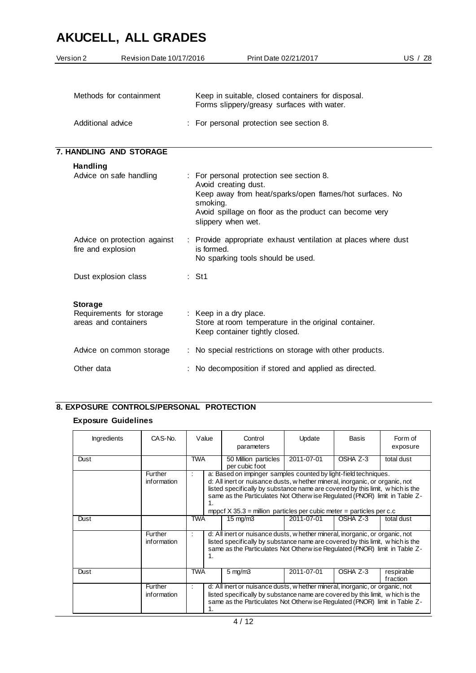| Version 2         | Revision Date 10/17/2016                           |                        | Print Date 02/21/2017                                                                                                                                                                                       | US / Z8 |
|-------------------|----------------------------------------------------|------------------------|-------------------------------------------------------------------------------------------------------------------------------------------------------------------------------------------------------------|---------|
|                   | Methods for containment                            |                        | Keep in suitable, closed containers for disposal.<br>Forms slippery/greasy surfaces with water.                                                                                                             |         |
| Additional advice |                                                    |                        | : For personal protection see section 8.                                                                                                                                                                    |         |
|                   | 7. HANDLING AND STORAGE                            |                        |                                                                                                                                                                                                             |         |
| Handling          | Advice on safe handling                            | smoking.               | : For personal protection see section 8.<br>Avoid creating dust.<br>Keep away from heat/sparks/open flames/hot surfaces. No<br>Avoid spillage on floor as the product can become very<br>slippery when wet. |         |
|                   | Advice on protection against<br>fire and explosion | is formed.             | : Provide appropriate exhaust ventilation at places where dust<br>No sparking tools should be used.                                                                                                         |         |
|                   | Dust explosion class                               | $:$ St1                |                                                                                                                                                                                                             |         |
| <b>Storage</b>    | Requirements for storage<br>areas and containers   | : Keep in a dry place. | Store at room temperature in the original container.<br>Keep container tightly closed.                                                                                                                      |         |
|                   | Advice on common storage                           |                        | : No special restrictions on storage with other products.                                                                                                                                                   |         |
| Other data        |                                                    |                        | No decomposition if stored and applied as directed.                                                                                                                                                         |         |

### **8. EXPOSURE CONTROLS/PERSONAL PROTECTION**

#### **Exposure Guidelines**

| <b>Ingredients</b> | CAS-No.                | Value      | Control<br>parameters                                                                                                                                                                                                                                                                                                                                                                     | Update     | Basis    | Form of<br>exposure    |
|--------------------|------------------------|------------|-------------------------------------------------------------------------------------------------------------------------------------------------------------------------------------------------------------------------------------------------------------------------------------------------------------------------------------------------------------------------------------------|------------|----------|------------------------|
| Dust               |                        | <b>TWA</b> | 50 Million particles<br>per cubic foot                                                                                                                                                                                                                                                                                                                                                    | 2011-07-01 | OSHA Z-3 | total dust             |
|                    | Further<br>information | 1.         | a: Based on impinger samples counted by light-field techniques.<br>d: All inert or nuisance dusts, w hether mineral, inorganic, or organic, not<br>listed specifically by substance name are covered by this limit, w hich is the<br>same as the Particulates Not Otherw ise Regulated (PNOR) limit in Table Z-<br>mppcf $X$ 35.3 = million particles per cubic meter = particles per c.c |            |          |                        |
| Dust               |                        | <b>TWA</b> | $15 \text{ mg/m}$                                                                                                                                                                                                                                                                                                                                                                         | 2011-07-01 | OSHA Z-3 | total dust             |
|                    | Further<br>information | 1.         | d: All inert or nuisance dusts, w hether mineral, inorganic, or organic, not<br>listed specifically by substance name are covered by this limit, w hich is the<br>same as the Particulates Not Otherw ise Regulated (PNOR) limit in Table Z-                                                                                                                                              |            |          |                        |
| Dust               |                        | <b>TWA</b> | $5 \text{ mg/m}$ 3                                                                                                                                                                                                                                                                                                                                                                        | 2011-07-01 | OSHA Z-3 | respirable<br>fraction |
|                    | Further<br>information |            | d: All inert or nuisance dusts, w hether mineral, inorganic, or organic, not<br>listed specifically by substance name are covered by this limit, w hich is the<br>same as the Particulates Not Otherw ise Regulated (PNOR) limit in Table Z-                                                                                                                                              |            |          |                        |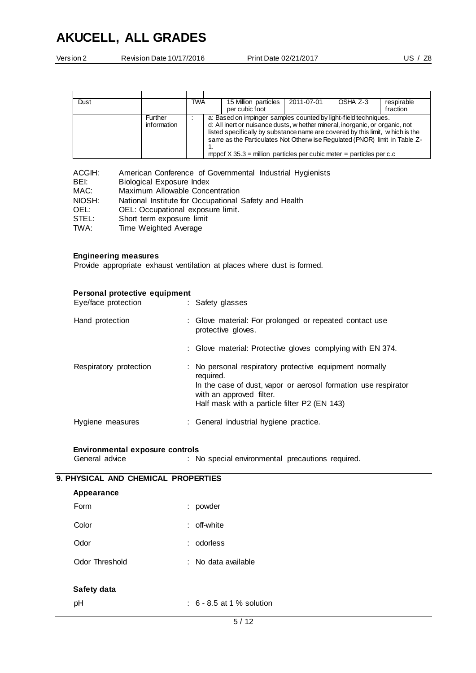| Version 2 | Revision Date 10/17/2016 | Print Date 02/21/2017 | US $/$ Z <sub>8</sub> |
|-----------|--------------------------|-----------------------|-----------------------|
|           |                          |                       |                       |

| Dust |                        | <b>TWA</b> |  | 15 Million particles<br>per cubic foot                                                                                                                                                                                                                                                                                                                                                   | 2011-07-01 | OSHA Z-3 | respirable<br>fraction |
|------|------------------------|------------|--|------------------------------------------------------------------------------------------------------------------------------------------------------------------------------------------------------------------------------------------------------------------------------------------------------------------------------------------------------------------------------------------|------------|----------|------------------------|
|      | Further<br>information |            |  | a: Based on impinger samples counted by light-field techniques.<br>d: All inert or nuisance dusts, w hether mineral, inorganic, or organic, not<br>listed specifically by substance name are covered by this limit, which is the<br>same as the Particulates Not Otherw ise Regulated (PNOR) limit in Table Z-<br>mppcf $X$ 35.3 = million particles per cubic meter = particles per c.c |            |          |                        |

| ACGIH: | American Conference of Governmental Industrial Hygienists |
|--------|-----------------------------------------------------------|
| BEI:   | Biological Exposure Index                                 |
| MAC:   | Maximum Allowable Concentration                           |
| NIOSH: | National Institute for Occupational Safety and Health     |
| OEL:   | OEL: Occupational exposure limit.                         |
| STEL:  | Short term exposure limit                                 |
| TWA:   | Time Weighted Average                                     |

#### **Engineering measures**

Provide appropriate exhaust ventilation at places where dust is formed.

| Personal protective equipment<br>Eye/face protection | : Safety glasses                                                                                                                                                                                                   |
|------------------------------------------------------|--------------------------------------------------------------------------------------------------------------------------------------------------------------------------------------------------------------------|
| Hand protection                                      | : Glove material: For prolonged or repeated contact use<br>protective gloves.                                                                                                                                      |
|                                                      | : Glove material: Protective gloves complying with EN 374.                                                                                                                                                         |
| Respiratory protection                               | : No personal respiratory protective equipment normally<br>required.<br>In the case of dust, vapor or aerosol formation use respirator<br>with an approved filter.<br>Half mask with a particle filter P2 (EN 143) |
| Hygiene measures                                     | : General industrial hygiene practice.                                                                                                                                                                             |

# **Environmental exposure controls**

: No special environmental precautions required.

| 9. PHYSICAL AND CHEMICAL PROPERTIES |  |                                      |  |  |  |
|-------------------------------------|--|--------------------------------------|--|--|--|
| Appearance                          |  |                                      |  |  |  |
| Form                                |  | : powder                             |  |  |  |
| Color                               |  | : off-white                          |  |  |  |
| Odor                                |  | : odorless                           |  |  |  |
| Odor Threshold                      |  | : No data available                  |  |  |  |
| Safety data                         |  |                                      |  |  |  |
| pH                                  |  | $\therefore$ 6 - 8.5 at 1 % solution |  |  |  |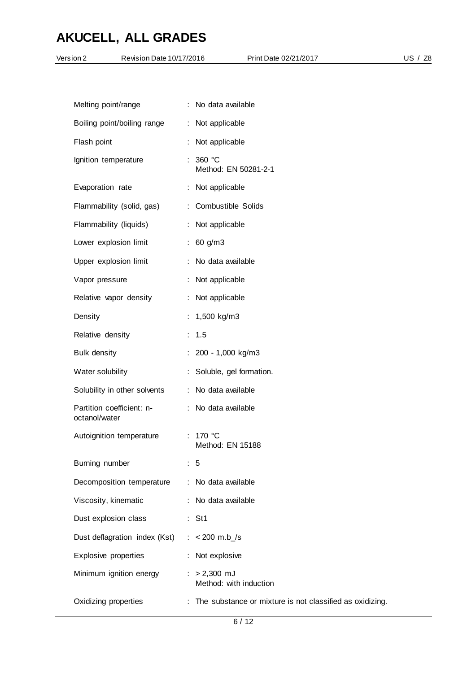| Version 2           | Revision Date 10/17/2016      | Print Date 02/21/2017                                      | US / Z8 |
|---------------------|-------------------------------|------------------------------------------------------------|---------|
|                     |                               |                                                            |         |
|                     | Melting point/range           | : No data available                                        |         |
|                     | Boiling point/boiling range   | : Not applicable                                           |         |
| Flash point         |                               | Not applicable                                             |         |
|                     | Ignition temperature          | 360 °C<br>Method: EN 50281-2-1                             |         |
| Evaporation rate    |                               | : Not applicable                                           |         |
|                     | Flammability (solid, gas)     | : Combustible Solids                                       |         |
|                     | Flammability (liquids)        | : Not applicable                                           |         |
|                     | Lower explosion limit         | : 60 g/m3                                                  |         |
|                     | Upper explosion limit         | : No data available                                        |         |
| Vapor pressure      |                               | : Not applicable                                           |         |
|                     | Relative vapor density        | : Not applicable                                           |         |
| Density             |                               | 1,500 kg/m3                                                |         |
| Relative density    |                               | : 1.5                                                      |         |
| <b>Bulk density</b> |                               | : 200 - 1,000 kg/m3                                        |         |
| Water solubility    |                               | : Soluble, gel formation.                                  |         |
|                     | Solubility in other solvents  | : No data available                                        |         |
| octanol/water       | Partition coefficient: n-     | : No data available                                        |         |
|                     | Autoignition temperature      | : 170 °C<br>Method: EN 15188                               |         |
| Burning number      |                               | $\therefore$ 5                                             |         |
|                     | Decomposition temperature     | : No data available                                        |         |
|                     | Viscosity, kinematic          | : No data available                                        |         |
|                     | Dust explosion class          | $:$ St1                                                    |         |
|                     | Dust deflagration index (Kst) | : $< 200$ m.b_/s                                           |         |
|                     | Explosive properties          | : Not explosive                                            |         |
|                     | Minimum ignition energy       | $: > 2,300$ mJ<br>Method: with induction                   |         |
|                     | Oxidizing properties          | : The substance or mixture is not classified as oxidizing. |         |
|                     |                               |                                                            |         |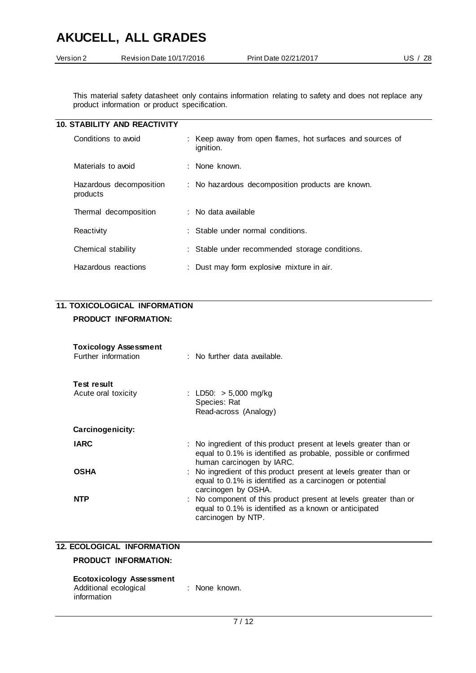| Version 2 | Revision Date 10/17/2016 | Print Date 02/21/2017 | US $/$ Z <sub>8</sub> |
|-----------|--------------------------|-----------------------|-----------------------|
|           |                          |                       |                       |

This material safety datasheet only contains information relating to safety and does not replace any product information or product specification.

|                     | <b>10. STABILITY AND REACTIVITY</b> |                                                                        |
|---------------------|-------------------------------------|------------------------------------------------------------------------|
| Conditions to avoid |                                     | : Keep away from open flames, hot surfaces and sources of<br>ignition. |
|                     | Materials to avoid                  | : None known.                                                          |
|                     | Hazardous decomposition<br>products | : No hazardous decomposition products are known.                       |
|                     | Thermal decomposition               | $\therefore$ No data available.                                        |
|                     | Reactivity                          | $\therefore$ Stable under normal conditions.                           |
|                     | Chemical stability                  | : Stable under recommended storage conditions.                         |
|                     | Hazardous reactions                 | : Dust may form explosive mixture in air.                              |

### **11. TOXICOLOGICAL INFORMATION**

#### **PRODUCT INFORMATION:**

| <b>Toxicology Assessment</b><br>Further information | $\therefore$ No further data available.                                                                                                                          |
|-----------------------------------------------------|------------------------------------------------------------------------------------------------------------------------------------------------------------------|
| <b>Test result</b><br>Acute oral toxicity           | : LD50: $> 5,000$ mg/kg<br>Species: Rat<br>Read-across (Analogy)                                                                                                 |
| Carcinogenicity:                                    |                                                                                                                                                                  |
| <b>IARC</b>                                         | : No ingredient of this product present at levels greater than or<br>equal to 0.1% is identified as probable, possible or confirmed<br>human carcinogen by IARC. |
| <b>OSHA</b>                                         | : No ingredient of this product present at levels greater than or<br>equal to 0.1% is identified as a carcinogen or potential<br>carcinogen by OSHA.             |
| <b>NTP</b>                                          | : No component of this product present at levels greater than or<br>equal to 0.1% is identified as a known or anticipated<br>carcinogen by NTP.                  |

### **12. ECOLOGICAL INFORMATION**

### **PRODUCT INFORMATION:**

| <b>Ecotoxicology Assessment</b> |  |               |
|---------------------------------|--|---------------|
| Additional ecological           |  | : None known. |
| information                     |  |               |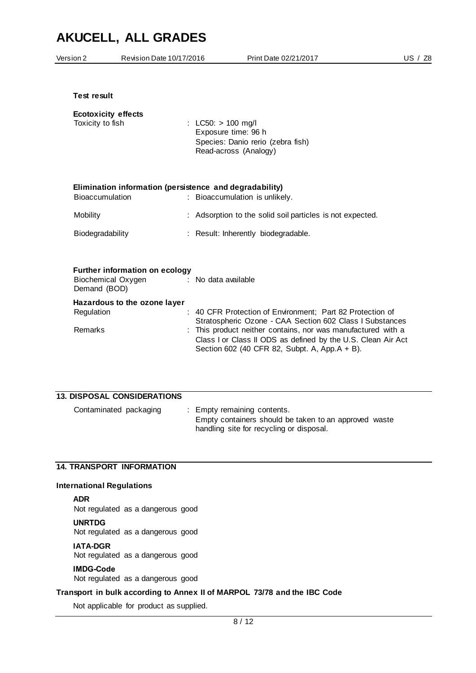| Version 2              | Revision Date 10/17/2016                                    |                      | Print Date 02/21/2017                                                                                                                                                                                                                                                                                | US $/$ Z <sub>8</sub> |
|------------------------|-------------------------------------------------------------|----------------------|------------------------------------------------------------------------------------------------------------------------------------------------------------------------------------------------------------------------------------------------------------------------------------------------------|-----------------------|
| <b>Test result</b>     |                                                             |                      |                                                                                                                                                                                                                                                                                                      |                       |
| Toxicity to fish       | <b>Ecotoxicity effects</b>                                  | : LC50: $> 100$ mg/l | Exposure time: 96 h<br>Species: Danio rerio (zebra fish)<br>Read-across (Analogy)                                                                                                                                                                                                                    |                       |
| <b>Bioaccumulation</b> | Elimination information (persistence and degradability)     |                      | : Bioaccumulation is unlikely.                                                                                                                                                                                                                                                                       |                       |
| Mobility               |                                                             |                      | : Adsorption to the solid soil particles is not expected.                                                                                                                                                                                                                                            |                       |
| Biodegradability       |                                                             |                      | : Result: Inherently biodegradable.                                                                                                                                                                                                                                                                  |                       |
| Demand (BOD)           | <b>Further information on ecology</b><br>Biochemical Oxygen | : No data available  |                                                                                                                                                                                                                                                                                                      |                       |
| Regulation<br>Remarks  | Hazardous to the ozone layer                                |                      | : 40 CFR Protection of Environment; Part 82 Protection of<br>Stratospheric Ozone - CAA Section 602 Class I Substances<br>This product neither contains, nor was manufactured with a<br>Class I or Class II ODS as defined by the U.S. Clean Air Act<br>Section 602 (40 CFR 82, Subpt. A, App.A + B). |                       |
|                        |                                                             |                      |                                                                                                                                                                                                                                                                                                      |                       |

| <b>13. DISPOSAL CONSIDERATIONS</b> |                                                                                                                                  |
|------------------------------------|----------------------------------------------------------------------------------------------------------------------------------|
| Contaminated packaging             | : Empty remaining contents.<br>Empty containers should be taken to an approved waste<br>handling site for recycling or disposal. |

#### **14. TRANSPORT INFORMATION**

### **International Regulations**

#### **ADR**

Not regulated as a dangerous good

#### **UNRTDG**

Not regulated as a dangerous good

#### **IATA-DGR**

Not regulated as a dangerous good

#### **IMDG-Code**

Not regulated as a dangerous good

#### **Transport in bulk according to Annex II of MARPOL 73/78 and the IBC Code**

Not applicable for product as supplied.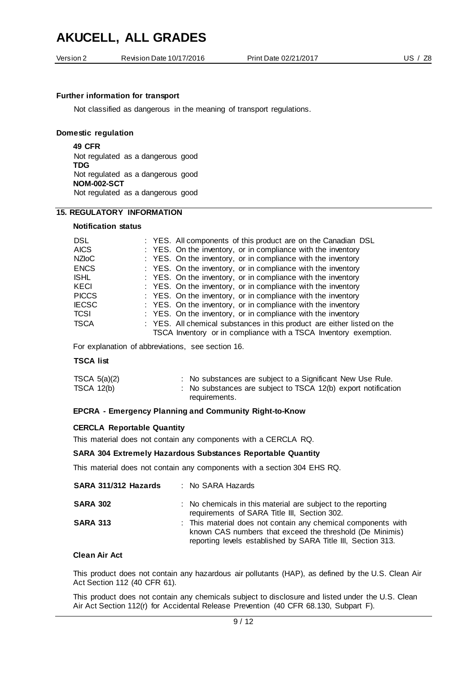| Version 2 | Revision Date 10/17/2016 | Print Date 02/21/2017 | - Z8 |
|-----------|--------------------------|-----------------------|------|
|           |                          |                       |      |

#### **Further information for transport**

Not classified as dangerous in the meaning of transport regulations.

#### **Domestic regulation**

**49 CFR** Not regulated as a dangerous good **TDG** Not regulated as a dangerous good **NOM-002-SCT** Not regulated as a dangerous good

#### **15. REGULATORY INFORMATION**

#### **Notification status**

| DSL.<br><b>AICS</b><br><b>NZIoC</b><br><b>ENCS</b> | : YES. All components of this product are on the Canadian DSL<br>: YES. On the inventory, or in compliance with the inventory<br>: YES. On the inventory, or in compliance with the inventory<br>: YES. On the inventory, or in compliance with the inventory |
|----------------------------------------------------|---------------------------------------------------------------------------------------------------------------------------------------------------------------------------------------------------------------------------------------------------------------|
| <b>ISHL</b><br><b>KECI</b>                         | : YES. On the inventory, or in compliance with the inventory<br>: YES. On the inventory, or in compliance with the inventory                                                                                                                                  |
| <b>PICCS</b>                                       | : YES. On the inventory, or in compliance with the inventory                                                                                                                                                                                                  |
| <b>IECSC</b><br><b>TCSI</b>                        | : YES. On the inventory, or in compliance with the inventory<br>: YES. On the inventory, or in compliance with the inventory                                                                                                                                  |
| <b>TSCA</b>                                        | : YES. All chemical substances in this product are either listed on the<br>TSCA Inventory or in compliance with a TSCA Inventory exemption.                                                                                                                   |

For explanation of abbreviations, see section 16.

#### **TSCA list**

| TSCA $5(a)(2)$    | : No substances are subject to a Significant New Use Rule.    |
|-------------------|---------------------------------------------------------------|
| <b>TSCA 12(b)</b> | : No substances are subject to TSCA 12(b) export notification |
|                   | requirements.                                                 |

#### **EPCRA - Emergency Planning and Community Right-to-Know**

#### **CERCLA Reportable Quantity**

This material does not contain any components with a CERCLA RQ.

#### **SARA 304 Extremely Hazardous Substances Reportable Quantity**

This material does not contain any components with a section 304 EHS RQ.

| SARA 311/312 Hazards | : No SARA Hazards                                                                                                                                                                         |
|----------------------|-------------------------------------------------------------------------------------------------------------------------------------------------------------------------------------------|
| <b>SARA 302</b>      | : No chemicals in this material are subject to the reporting<br>requirements of SARA Title III, Section 302.                                                                              |
| <b>SARA 313</b>      | : This material does not contain any chemical components with<br>known CAS numbers that exceed the threshold (De Minimis)<br>reporting levels established by SARA Title III, Section 313. |

#### **Clean Air Act**

This product does not contain any hazardous air pollutants (HAP), as defined by the U.S. Clean Air Act Section 112 (40 CFR 61).

This product does not contain any chemicals subject to disclosure and listed under the U.S. Clean Air Act Section 112(r) for Accidental Release Prevention (40 CFR 68.130, Subpart F).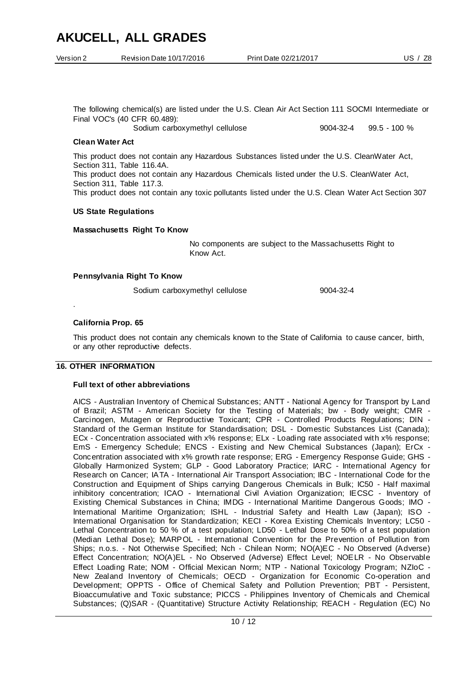| Version 2 | Revision Date 10/17/2016 | Print Date 02/21/2017 | Z <sub>8</sub><br>JS. |
|-----------|--------------------------|-----------------------|-----------------------|
|           |                          |                       |                       |

The following chemical(s) are listed under the U.S. Clean Air Act Section 111 SOCMI Intermediate or Final VOC's (40 CFR 60.489):

Sodium carboxymethyl cellulose 9004-32-4 99.5 - 100 %

#### **Clean Water Act**

This product does not contain any Hazardous Substances listed under the U.S. CleanWater Act, Section 311, Table 116.4A. This product does not contain any Hazardous Chemicals listed under the U.S. CleanWater Act, Section 311, Table 117.3. This product does not contain any toxic pollutants listed under the U.S. Clean Water Act Section 307

#### **US State Regulations**

**Massachusetts Right To Know**

No components are subject to the Massachusetts Right to Know Act.

#### **Pennsylvania Right To Know**

Sodium carboxymethyl cellulose 9004-32-4

#### **California Prop. 65**

.

This product does not contain any chemicals known to the State of California to cause cancer, birth, or any other reproductive defects.

#### **16. OTHER INFORMATION**

#### **Full text of other abbreviations**

AICS - Australian Inventory of Chemical Substances; ANTT - National Agency for Transport by Land of Brazil; ASTM - American Society for the Testing of Materials; bw - Body weight; CMR - Carcinogen, Mutagen or Reproductive Toxicant; CPR - Controlled Products Regulations; DIN - Standard of the German Institute for Standardisation; DSL - Domestic Substances List (Canada); ECx - Concentration associated with x% response; ELx - Loading rate associated with x% response; EmS - Emergency Schedule; ENCS - Existing and New Chemical Substances (Japan); ErCx - Concentration associated with x% growth rate response; ERG - Emergency Response Guide; GHS - Globally Harmonized System; GLP - Good Laboratory Practice; IARC - International Agency for Research on Cancer; IATA - International Air Transport Association; IBC - International Code for the Construction and Equipment of Ships carrying Dangerous Chemicals in Bulk; IC50 - Half maximal inhibitory concentration; ICAO - International Civil Aviation Organization; IECSC - Inventory of Existing Chemical Substances in China; IMDG - International Maritime Dangerous Goods; IMO - International Maritime Organization; ISHL - Industrial Safety and Health Law (Japan); ISO - International Organisation for Standardization; KECI - Korea Existing Chemicals Inventory; LC50 - Lethal Concentration to 50 % of a test population; LD50 - Lethal Dose to 50% of a test population (Median Lethal Dose); MARPOL - International Convention for the Prevention of Pollution from Ships; n.o.s. - Not Otherwise Specified; Nch - Chilean Norm; NO(A)EC - No Observed (Adverse) Effect Concentration; NO(A)EL - No Observed (Adverse) Effect Level; NOELR - No Observable Effect Loading Rate; NOM - Official Mexican Norm; NTP - National Toxicology Program; NZIoC - New Zealand Inventory of Chemicals; OECD - Organization for Economic Co-operation and Development; OPPTS - Office of Chemical Safety and Pollution Prevention; PBT - Persistent, Bioaccumulative and Toxic substance; PICCS - Philippines Inventory of Chemicals and Chemical Substances; (Q)SAR - (Quantitative) Structure Activity Relationship; REACH - Regulation (EC) No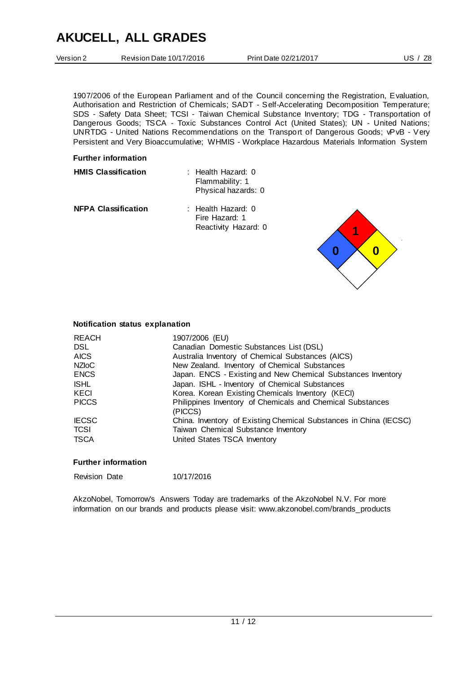| Version 2 |  |
|-----------|--|
|           |  |

1907/2006 of the European Parliament and of the Council concerning the Registration, Evaluation, Authorisation and Restriction of Chemicals; SADT - Self-Accelerating Decomposition Temperature; SDS - Safety Data Sheet; TCSI - Taiwan Chemical Substance Inventory; TDG - Transportation of Dangerous Goods; TSCA - Toxic Substances Control Act (United States); UN - United Nations; UNRTDG - United Nations Recommendations on the Transport of Dangerous Goods; vPvB - Very Persistent and Very Bioaccumulative; WHMIS - Workplace Hazardous Materials Information System

#### **Further information**

| <b>HMIS Classification</b> | : Health Hazard: 0<br>Flammability: 1<br>Physical hazards: 0 |
|----------------------------|--------------------------------------------------------------|
| <b>NFPA Classification</b> | : Health Hazard: 0<br>Fire Hazard: 1<br>Reactivity Hazard: 0 |



#### **Notification status explanation**

| <b>REACH</b>                                              | 1907/2006 (EU)                                                                                                                                                                                                                               |
|-----------------------------------------------------------|----------------------------------------------------------------------------------------------------------------------------------------------------------------------------------------------------------------------------------------------|
| <b>DSL</b>                                                | Canadian Domestic Substances List (DSL)                                                                                                                                                                                                      |
| <b>AICS</b>                                               | Australia Inventory of Chemical Substances (AICS)                                                                                                                                                                                            |
| NZI <sub>O</sub> C                                        | New Zealand. Inventory of Chemical Substances                                                                                                                                                                                                |
| <b>ENCS</b><br><b>ISHL</b><br><b>KECI</b><br><b>PICCS</b> | Japan. ENCS - Existing and New Chemical Substances Inventory<br>Japan. ISHL - Inventory of Chemical Substances<br>Korea. Korean Existing Chemicals Inventory (KECI)<br>Philippines Inventory of Chemicals and Chemical Substances<br>(PICCS) |
| <b>IECSC</b>                                              | China. Inventory of Existing Chemical Substances in China (IECSC)                                                                                                                                                                            |
| <b>TCSI</b>                                               | Taiwan Chemical Substance Inventory                                                                                                                                                                                                          |
| <b>TSCA</b>                                               | United States TSCA Inventory                                                                                                                                                                                                                 |

#### **Further information**

| <b>Revision Date</b> | 10/17/2016 |
|----------------------|------------|
|                      |            |

AkzoNobel, Tomorrow's Answers Today are trademarks of the AkzoNobel N.V. For more information on our brands and products please visit: www.akzonobel.com/brands\_products